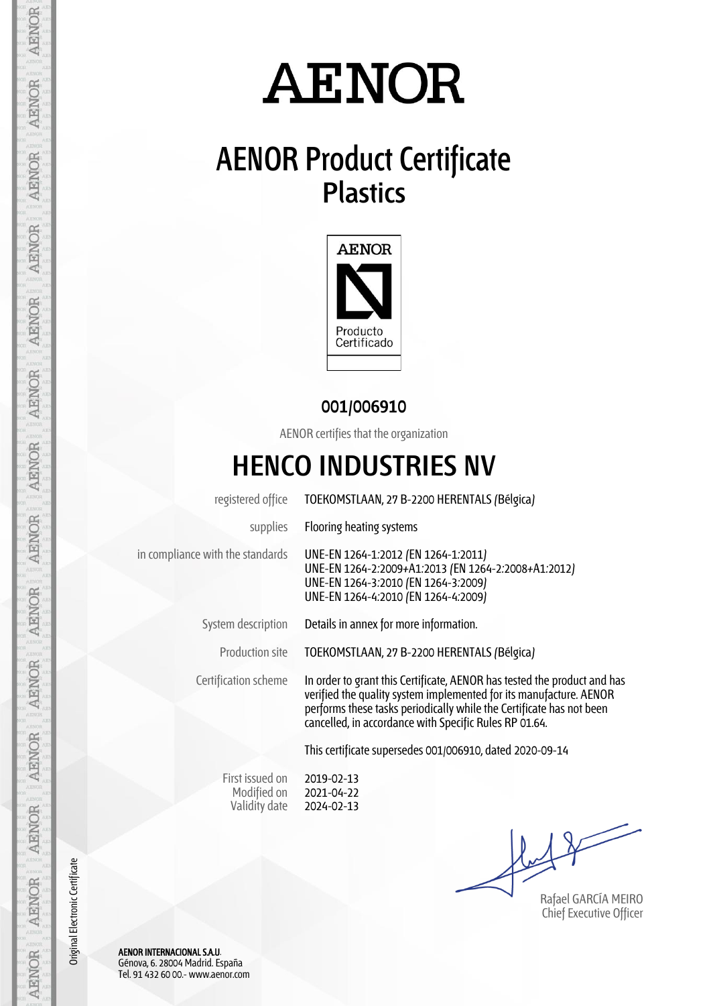# **AENOR**

## **AENOR Product Certificate Plastics**



#### **001/006910**

AENOR certifies that the organization

### **HENCO INDUSTRIES NV**

registered office TOEKOMSTLAAN, 27 B-2200 HERENTALS (Bélgica) supplies Flooring heating systems in compliance with the standards UNE-EN 1264-1:2012 (EN 1264-1:2011) UNE-EN 1264-2:2009+A1:2013 (EN 1264-2:2008+A1:2012) UNE-EN 1264-3:2010 (EN 1264-3:2009) UNE-EN 1264-4:2010 (EN 1264-4:2009) System description Details in annex for more information. Production site TOEKOMSTLAAN, 27 B-2200 HERENTALS (Bélgica) Certification scheme In order to grant this Certificate, AENOR has tested the product and has verified the quality system implemented for its manufacture. AENOR performs these tasks periodically while the Certificate has not been cancelled, in accordance with Specific Rules RP 01.64. This certificate supersedes 001/006910, dated 2020-09-14

> First issued on Modified on Validity date 2019-02-13 2021-04-22 2024-02-13

Rafael GARCÍA MEIRO Chief Executive Officer

Original Electronic Certificate Original Electronic Certificate

AENOR INTERNACIONAL S.A.U. Génova, 6. 28004 Madrid. España Tel. 91 432 60 00.- www.aenor.com

AENOR

**AENOR** 

**AENOR** 

**AENOR** 

**AENOR** 

**AENOR** 

AENOR

**AENOR** 

**AENOR** 

**AENOR** 

**AENOR** 

**AENOR** 

**AENOR** 

AENOR